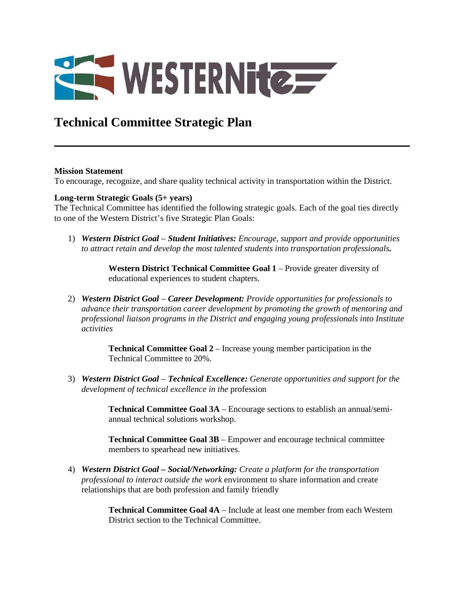

# **Technical Committee Strategic Plan**

#### **Mission Statement**

To encourage, recognize, and share quality technical activity in transportation within the District.

#### **Long-term Strategic Goals (5+ years)**

The Technical Committee has identified the following strategic goals. Each of the goal ties directly to one of the Western District's five Strategic Plan Goals:

1) *Western District Goal* – *Student Initiatives: Encourage, support and provide opportunities to attract retain and develop the most talented students into transportation professionals.* 

> **Western District Technical Committee Goal 1** – Provide greater diversity of educational experiences to student chapters.

2) *Western District Goal* – *Career Development: Provide opportunities for professionals to advance their transportation career development by promoting the growth of mentoring and professional liaison programs in the District and engaging young professionals into Institute activities* 

> **Technical Committee Goal 2** – Increase young member participation in the Technical Committee to 20%.

3) *Western District Goal* – *Technical Excellence: Generate opportunities and support for the development of technical excellence in the* profession

> **Technical Committee Goal 3A** – Encourage sections to establish an annual/semiannual technical solutions workshop.

**Technical Committee Goal 3B** – Empower and encourage technical committee members to spearhead new initiatives.

4) *Western District Goal – Social/Networking: Create a platform for the transportation professional to interact outside the work* environment to share information and create relationships that are both profession and family friendly

> **Technical Committee Goal 4A** – Include at least one member from each Western District section to the Technical Committee.